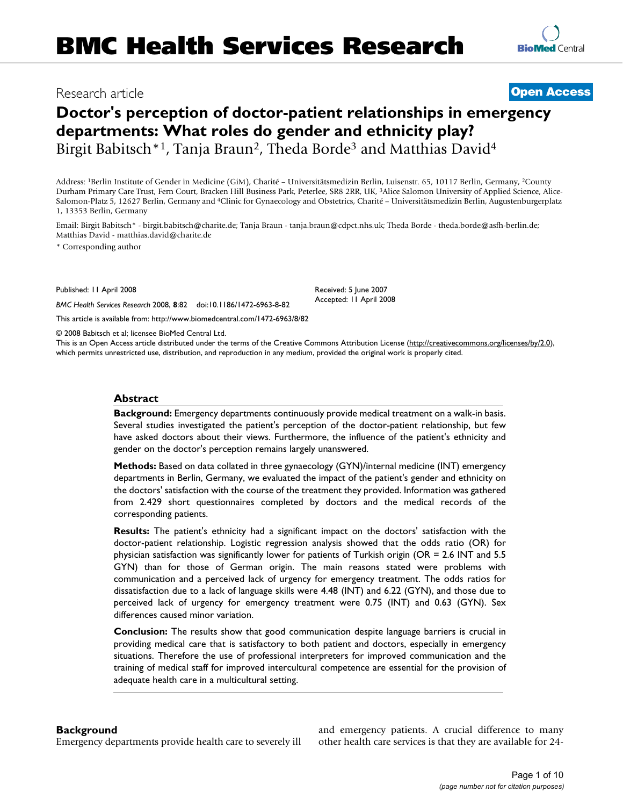# Research article **[Open Access](http://www.biomedcentral.com/info/about/charter/)**

**[BioMed](http://www.biomedcentral.com/)** Central

# **Doctor's perception of doctor-patient relationships in emergency departments: What roles do gender and ethnicity play?** Birgit Babitsch<sup>\*1</sup>, Tanja Braun<sup>2</sup>, Theda Borde<sup>3</sup> and Matthias David<sup>4</sup>

Address: 1Berlin Institute of Gender in Medicine (GiM), Charité – Universitätsmedizin Berlin, Luisenstr. 65, 10117 Berlin, Germany, 2County Durham Primary Care Trust, Fern Court, Bracken Hill Business Park, Peterlee, SR8 2RR, UK, 3Alice Salomon University of Applied Science, Alice-Salomon-Platz 5, 12627 Berlin, Germany and 4Clinic for Gynaecology and Obstetrics, Charité – Universitätsmedizin Berlin, Augustenburgerplatz 1, 13353 Berlin, Germany

Email: Birgit Babitsch\* - birgit.babitsch@charite.de; Tanja Braun - tanja.braun@cdpct.nhs.uk; Theda Borde - theda.borde@asfh-berlin.de; Matthias David - matthias.david@charite.de

\* Corresponding author

Published: 11 April 2008

*BMC Health Services Research* 2008, **8**:82 doi:10.1186/1472-6963-8-82

[This article is available from: http://www.biomedcentral.com/1472-6963/8/82](http://www.biomedcentral.com/1472-6963/8/82)

© 2008 Babitsch et al; licensee BioMed Central Ltd.

This is an Open Access article distributed under the terms of the Creative Commons Attribution License [\(http://creativecommons.org/licenses/by/2.0\)](http://creativecommons.org/licenses/by/2.0), which permits unrestricted use, distribution, and reproduction in any medium, provided the original work is properly cited.

Received: 5 June 2007 Accepted: 11 April 2008

#### **Abstract**

**Background:** Emergency departments continuously provide medical treatment on a walk-in basis. Several studies investigated the patient's perception of the doctor-patient relationship, but few have asked doctors about their views. Furthermore, the influence of the patient's ethnicity and gender on the doctor's perception remains largely unanswered.

**Methods:** Based on data collated in three gynaecology (GYN)/internal medicine (INT) emergency departments in Berlin, Germany, we evaluated the impact of the patient's gender and ethnicity on the doctors' satisfaction with the course of the treatment they provided. Information was gathered from 2.429 short questionnaires completed by doctors and the medical records of the corresponding patients.

**Results:** The patient's ethnicity had a significant impact on the doctors' satisfaction with the doctor-patient relationship. Logistic regression analysis showed that the odds ratio (OR) for physician satisfaction was significantly lower for patients of Turkish origin (OR = 2.6 INT and 5.5 GYN) than for those of German origin. The main reasons stated were problems with communication and a perceived lack of urgency for emergency treatment. The odds ratios for dissatisfaction due to a lack of language skills were 4.48 (INT) and 6.22 (GYN), and those due to perceived lack of urgency for emergency treatment were 0.75 (INT) and 0.63 (GYN). Sex differences caused minor variation.

**Conclusion:** The results show that good communication despite language barriers is crucial in providing medical care that is satisfactory to both patient and doctors, especially in emergency situations. Therefore the use of professional interpreters for improved communication and the training of medical staff for improved intercultural competence are essential for the provision of adequate health care in a multicultural setting.

#### **Background**

Emergency departments provide health care to severely ill

and emergency patients. A crucial difference to many other health care services is that they are available for 24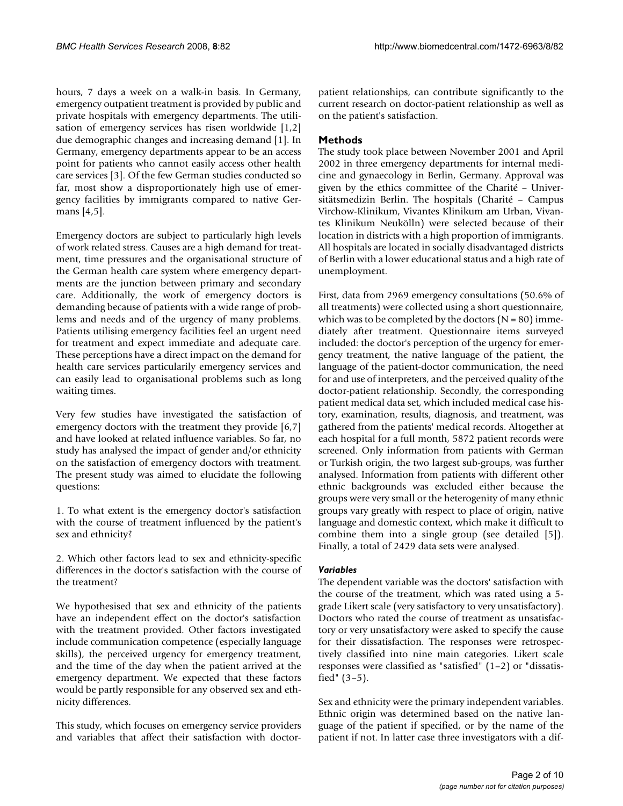hours, 7 days a week on a walk-in basis. In Germany, emergency outpatient treatment is provided by public and private hospitals with emergency departments. The utilisation of emergency services has risen worldwide [1,2] due demographic changes and increasing demand [1]. In Germany, emergency departments appear to be an access point for patients who cannot easily access other health care services [3]. Of the few German studies conducted so far, most show a disproportionately high use of emergency facilities by immigrants compared to native Germans [4,5].

Emergency doctors are subject to particularly high levels of work related stress. Causes are a high demand for treatment, time pressures and the organisational structure of the German health care system where emergency departments are the junction between primary and secondary care. Additionally, the work of emergency doctors is demanding because of patients with a wide range of problems and needs and of the urgency of many problems. Patients utilising emergency facilities feel an urgent need for treatment and expect immediate and adequate care. These perceptions have a direct impact on the demand for health care services particularily emergency services and can easily lead to organisational problems such as long waiting times.

Very few studies have investigated the satisfaction of emergency doctors with the treatment they provide [6,7] and have looked at related influence variables. So far, no study has analysed the impact of gender and/or ethnicity on the satisfaction of emergency doctors with treatment. The present study was aimed to elucidate the following questions:

1. To what extent is the emergency doctor's satisfaction with the course of treatment influenced by the patient's sex and ethnicity?

2. Which other factors lead to sex and ethnicity-specific differences in the doctor's satisfaction with the course of the treatment?

We hypothesised that sex and ethnicity of the patients have an independent effect on the doctor's satisfaction with the treatment provided. Other factors investigated include communication competence (especially language skills), the perceived urgency for emergency treatment, and the time of the day when the patient arrived at the emergency department. We expected that these factors would be partly responsible for any observed sex and ethnicity differences.

This study, which focuses on emergency service providers and variables that affect their satisfaction with doctorpatient relationships, can contribute significantly to the current research on doctor-patient relationship as well as on the patient's satisfaction.

# **Methods**

The study took place between November 2001 and April 2002 in three emergency departments for internal medicine and gynaecology in Berlin, Germany. Approval was given by the ethics committee of the Charité – Universitätsmedizin Berlin. The hospitals (Charité – Campus Virchow-Klinikum, Vivantes Klinikum am Urban, Vivantes Klinikum Neukölln) were selected because of their location in districts with a high proportion of immigrants. All hospitals are located in socially disadvantaged districts of Berlin with a lower educational status and a high rate of unemployment.

First, data from 2969 emergency consultations (50.6% of all treatments) were collected using a short questionnaire, which was to be completed by the doctors  $(N = 80)$  immediately after treatment. Questionnaire items surveyed included: the doctor's perception of the urgency for emergency treatment, the native language of the patient, the language of the patient-doctor communication, the need for and use of interpreters, and the perceived quality of the doctor-patient relationship. Secondly, the corresponding patient medical data set, which included medical case history, examination, results, diagnosis, and treatment, was gathered from the patients' medical records. Altogether at each hospital for a full month, 5872 patient records were screened. Only information from patients with German or Turkish origin, the two largest sub-groups, was further analysed. Information from patients with different other ethnic backgrounds was excluded either because the groups were very small or the heterogenity of many ethnic groups vary greatly with respect to place of origin, native language and domestic context, which make it difficult to combine them into a single group (see detailed [5]). Finally, a total of 2429 data sets were analysed.

# *Variables*

The dependent variable was the doctors' satisfaction with the course of the treatment, which was rated using a 5 grade Likert scale (very satisfactory to very unsatisfactory). Doctors who rated the course of treatment as unsatisfactory or very unsatisfactory were asked to specify the cause for their dissatisfaction. The responses were retrospectively classified into nine main categories. Likert scale responses were classified as "satisfied" (1–2) or "dissatisfied" (3–5).

Sex and ethnicity were the primary independent variables. Ethnic origin was determined based on the native language of the patient if specified, or by the name of the patient if not. In latter case three investigators with a dif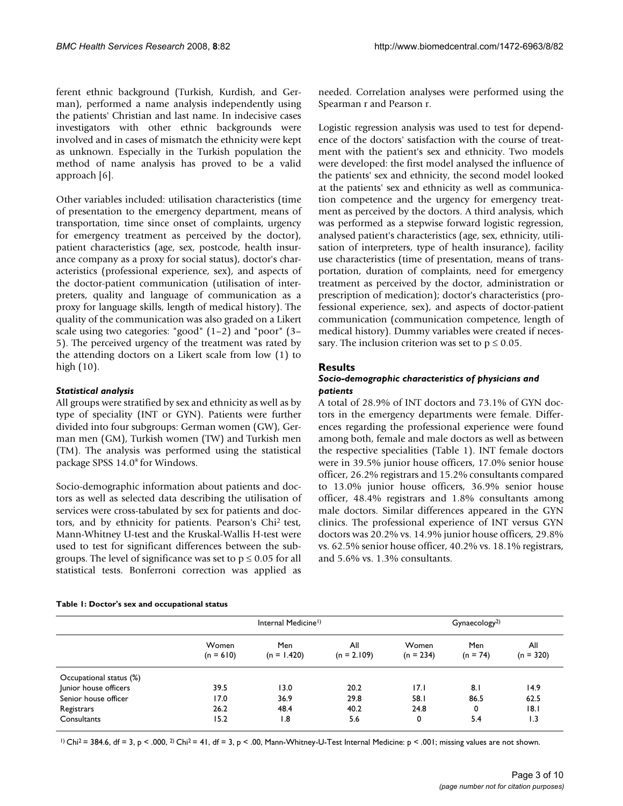ferent ethnic background (Turkish, Kurdish, and German), performed a name analysis independently using the patients' Christian and last name. In indecisive cases investigators with other ethnic backgrounds were involved and in cases of mismatch the ethnicity were kept as unknown. Especially in the Turkish population the method of name analysis has proved to be a valid approach [6].

Other variables included: utilisation characteristics (time of presentation to the emergency department, means of transportation, time since onset of complaints, urgency for emergency treatment as perceived by the doctor), patient characteristics (age, sex, postcode, health insurance company as a proxy for social status), doctor's characteristics (professional experience, sex), and aspects of the doctor-patient communication (utilisation of interpreters, quality and language of communication as a proxy for language skills, length of medical history). The quality of the communication was also graded on a Likert scale using two categories: "good" (1–2) and "poor" (3– 5). The perceived urgency of the treatment was rated by the attending doctors on a Likert scale from low (1) to high (10).

# *Statistical analysis*

All groups were stratified by sex and ethnicity as well as by type of speciality (INT or GYN). Patients were further divided into four subgroups: German women (GW), German men (GM), Turkish women (TW) and Turkish men (TM). The analysis was performed using the statistical package SPSS 14.0® for Windows.

Socio-demographic information about patients and doctors as well as selected data describing the utilisation of services were cross-tabulated by sex for patients and doctors, and by ethnicity for patients. Pearson's Chi2 test, Mann-Whitney U-test and the Kruskal-Wallis H-test were used to test for significant differences between the subgroups. The level of significance was set to  $p \le 0.05$  for all statistical tests. Bonferroni correction was applied as

#### **Table 1: Doctor's sex and occupational status**

needed. Correlation analyses were performed using the Spearman r and Pearson r.

Logistic regression analysis was used to test for dependence of the doctors' satisfaction with the course of treatment with the patient's sex and ethnicity. Two models were developed: the first model analysed the influence of the patients' sex and ethnicity, the second model looked at the patients' sex and ethnicity as well as communication competence and the urgency for emergency treatment as perceived by the doctors. A third analysis, which was performed as a stepwise forward logistic regression, analysed patient's characteristics (age, sex, ethnicity, utilisation of interpreters, type of health insurance), facility use characteristics (time of presentation, means of transportation, duration of complaints, need for emergency treatment as perceived by the doctor, administration or prescription of medication); doctor's characteristics (professional experience, sex), and aspects of doctor-patient communication (communication competence, length of medical history). Dummy variables were created if necessary. The inclusion criterion was set to  $p \leq 0.05$ .

#### **Results**

# *Socio-demographic characteristics of physicians and patients*

A total of 28.9% of INT doctors and 73.1% of GYN doctors in the emergency departments were female. Differences regarding the professional experience were found among both, female and male doctors as well as between the respective specialities (Table 1). INT female doctors were in 39.5% junior house officers, 17.0% senior house officer, 26.2% registrars and 15.2% consultants compared to 13.0% junior house officers, 36.9% senior house officer, 48.4% registrars and 1.8% consultants among male doctors. Similar differences appeared in the GYN clinics. The professional experience of INT versus GYN doctors was 20.2% vs. 14.9% junior house officers, 29.8% vs. 62.5% senior house officer, 40.2% vs. 18.1% registrars, and 5.6% vs. 1.3% consultants.

|                         | Internal Medicine <sup>1</sup> |                      |                      |                      | Gynaecology <sup>2</sup> |                    |
|-------------------------|--------------------------------|----------------------|----------------------|----------------------|--------------------------|--------------------|
|                         | Women<br>$(n = 610)$           | Men<br>$(n = 1.420)$ | All<br>$(n = 2.109)$ | Women<br>$(n = 234)$ | Men<br>$(n = 74)$        | All<br>$(n = 320)$ |
| Occupational status (%) |                                |                      |                      |                      |                          |                    |
| Junior house officers   | 39.5                           | 13.0                 | 20.2                 | 17.1                 | 8.1                      | 14.9               |
| Senior house officer    | 17.0                           | 36.9                 | 29.8                 | 58.1                 | 86.5                     | 62.5               |
| Registrars              | 26.2                           | 48.4                 | 40.2                 | 24.8                 | 0                        | 8.1                |
| Consultants             | 15.2                           | 1.8                  | 5.6                  | 0                    | 5.4                      | 1.3                |

<sup>1)</sup> Chi<sup>2</sup> = 384.6, df = 3, p < .000, <sup>2</sup>) Chi<sup>2</sup> = 41, df = 3, p < .00, Mann-Whitney-U-Test Internal Medicine: p < .001; missing values are not shown.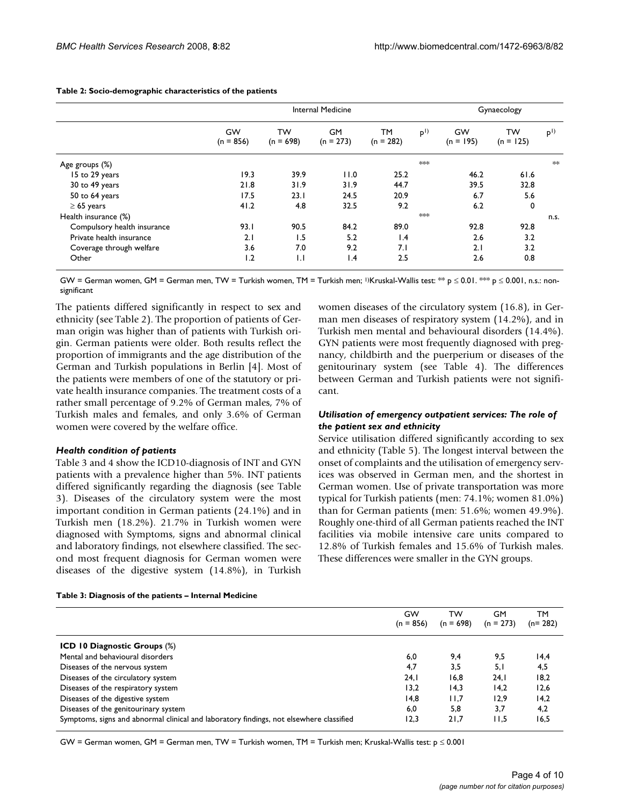|                             |                   | Gynaecology       |                          |                   |           |                   |                          |           |
|-----------------------------|-------------------|-------------------|--------------------------|-------------------|-----------|-------------------|--------------------------|-----------|
|                             | GW<br>$(n = 856)$ | TW<br>$(n = 698)$ | <b>GM</b><br>$(n = 273)$ | TM<br>$(n = 282)$ | $p^{(1)}$ | GW<br>$(n = 195)$ | <b>TW</b><br>$(n = 125)$ | $p^{(1)}$ |
| Age groups (%)              |                   |                   |                          |                   | $*$       |                   |                          | $*$       |
| 15 to 29 years              | 19.3              | 39.9              | 11.0                     | 25.2              |           | 46.2              | 61.6                     |           |
| 30 to 49 years              | 21.8              | 31.9              | 31.9                     | 44.7              |           | 39.5              | 32.8                     |           |
| 50 to 64 years              | 17.5              | 23.1              | 24.5                     | 20.9              |           | 6.7               | 5.6                      |           |
| $\geq 65$ years             | 41.2              | 4.8               | 32.5                     | 9.2               |           | 6.2               | 0                        |           |
| Health insurance (%)        |                   |                   |                          |                   | $*$       |                   |                          | n.s.      |
| Compulsory health insurance | 93.1              | 90.5              | 84.2                     | 89.0              |           | 92.8              | 92.8                     |           |
| Private health insurance    | 2.1               | 1.5               | 5.2                      | $\mathsf{I}$ .4   |           | 2.6               | 3.2                      |           |
| Coverage through welfare    | 3.6               | 7.0               | 9.2                      | 7.1               |           | 2.1               | 3.2                      |           |
| Other                       | 1.2               | $\overline{1}$ .  | $\mathsf{I}$ .4          | 2.5               |           | 2.6               | 0.8                      |           |

**Table 2: Socio-demographic characteristics of the patients**

GW = German women, GM = German men, TW = Turkish women, TM = Turkish men; <sup>1</sup>)Kruskal-Wallis test: \*\* p ≤ 0.01. \*\* p ≤ 0.001, n.s.: nonsignificant

The patients differed significantly in respect to sex and ethnicity (see Table 2). The proportion of patients of German origin was higher than of patients with Turkish origin. German patients were older. Both results reflect the proportion of immigrants and the age distribution of the German and Turkish populations in Berlin [4]. Most of the patients were members of one of the statutory or private health insurance companies. The treatment costs of a rather small percentage of 9.2% of German males, 7% of Turkish males and females, and only 3.6% of German women were covered by the welfare office.

#### *Health condition of patients*

Table 3 and 4 show the ICD10-diagnosis of INT and GYN patients with a prevalence higher than 5%. INT patients differed significantly regarding the diagnosis (see Table 3). Diseases of the circulatory system were the most important condition in German patients (24.1%) and in Turkish men (18.2%). 21.7% in Turkish women were diagnosed with Symptoms, signs and abnormal clinical and laboratory findings, not elsewhere classified. The second most frequent diagnosis for German women were diseases of the digestive system (14.8%), in Turkish

|  | Table 3: Diagnosis of the patients – Internal Medicine |
|--|--------------------------------------------------------|
|--|--------------------------------------------------------|

women diseases of the circulatory system (16.8), in German men diseases of respiratory system (14.2%), and in Turkish men mental and behavioural disorders (14.4%). GYN patients were most frequently diagnosed with pregnancy, childbirth and the puerperium or diseases of the genitourinary system (see Table 4). The differences between German and Turkish patients were not significant.

# *Utilisation of emergency outpatient services: The role of the patient sex and ethnicity*

Service utilisation differed significantly according to sex and ethnicity (Table 5). The longest interval between the onset of complaints and the utilisation of emergency services was observed in German men, and the shortest in German women. Use of private transportation was more typical for Turkish patients (men: 74.1%; women 81.0%) than for German patients (men: 51.6%; women 49.9%). Roughly one-third of all German patients reached the INT facilities via mobile intensive care units compared to 12.8% of Turkish females and 15.6% of Turkish males. These differences were smaller in the GYN groups.

|                                                                                         | GW          | TW          | GM          | ТM        |
|-----------------------------------------------------------------------------------------|-------------|-------------|-------------|-----------|
|                                                                                         | $(n = 856)$ | $(n = 698)$ | $(n = 273)$ | $(n=282)$ |
| <b>ICD 10 Diagnostic Groups (%)</b>                                                     |             |             |             |           |
| Mental and behavioural disorders                                                        | 6,0         | 9,4         | 9,5         | 14,4      |
| Diseases of the nervous system                                                          | 4.7         | 3.5         | 5,1         | 4,5       |
| Diseases of the circulatory system                                                      | 24.1        | 16.8        | 24.I        | 18,2      |
| Diseases of the respiratory system                                                      | 13,2        | 14.3        | 14,2        | 12,6      |
| Diseases of the digestive system                                                        | 14.8        | 11.7        | 12.9        | 14,2      |
| Diseases of the genitourinary system                                                    | 6,0         | 5.8         | 3.7         | 4,2       |
| Symptoms, signs and abnormal clinical and laboratory findings, not elsewhere classified | 12.3        | 21.7        | 11,5        | 16,5      |

GW = German women, GM = German men, TW = Turkish women, TM = Turkish men; Kruskal-Wallis test: p ≤ 0.001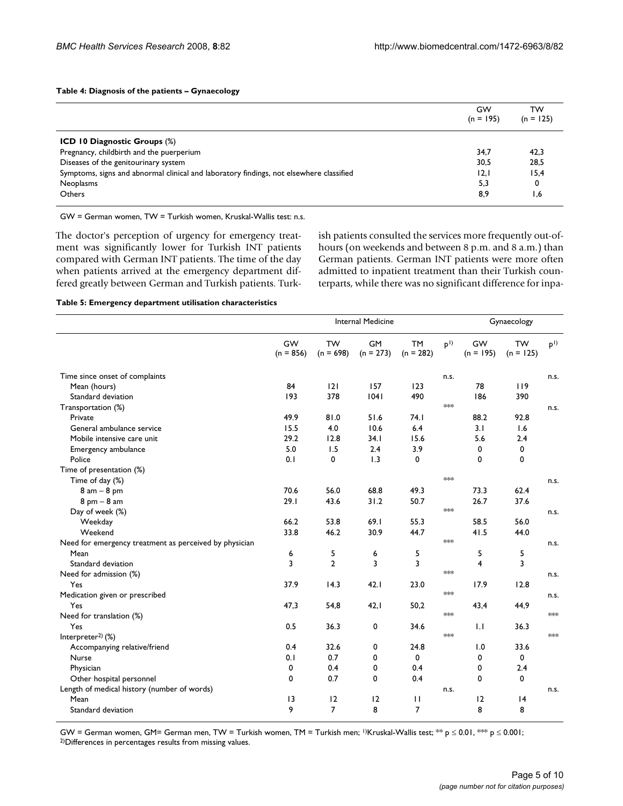**Table 4: Diagnosis of the patients – Gynaecology**

|                                                                                         | GW<br>$(n = 195)$ | TW<br>$(n = 125)$ |
|-----------------------------------------------------------------------------------------|-------------------|-------------------|
| <b>ICD 10 Diagnostic Groups (%)</b>                                                     |                   |                   |
| Pregnancy, childbirth and the puerperium                                                | 34.7              | 42.3              |
| Diseases of the genitourinary system                                                    | 30,5              | 28,5              |
| Symptoms, signs and abnormal clinical and laboratory findings, not elsewhere classified | 12,1              | 15,4              |
| Neoplasms                                                                               | 5.3               |                   |
| Others                                                                                  | 8,9               | 6. ا              |

GW = German women, TW = Turkish women, Kruskal-Wallis test: n.s.

The doctor's perception of urgency for emergency treatment was significantly lower for Turkish INT patients compared with German INT patients. The time of the day when patients arrived at the emergency department differed greatly between German and Turkish patients. Turkish patients consulted the services more frequently out-ofhours (on weekends and between 8 p.m. and 8 a.m.) than German patients. German INT patients were more often admitted to inpatient treatment than their Turkish counterparts, while there was no significant difference for inpa-

**Table 5: Emergency department utilisation characteristics**

|                                                        | Internal Medicine |                          |                          |                          |             |                   | Gynaecology       |           |  |  |
|--------------------------------------------------------|-------------------|--------------------------|--------------------------|--------------------------|-------------|-------------------|-------------------|-----------|--|--|
|                                                        | GW<br>$(n = 856)$ | <b>TW</b><br>$(n = 698)$ | <b>GM</b><br>$(n = 273)$ | <b>TM</b><br>$(n = 282)$ | $p^{(1)}$   | GW<br>$(n = 195)$ | TW<br>$(n = 125)$ | $p^{(1)}$ |  |  |
| Time since onset of complaints                         |                   |                          |                          |                          | n.s.        |                   |                   | n.s.      |  |  |
| Mean (hours)                                           | 84                | 2                        | 157                      | 123                      |             | 78                | 119               |           |  |  |
| Standard deviation                                     | 193               | 378                      | 1041                     | 490                      |             | 186               | 390               |           |  |  |
| Transportation (%)                                     |                   |                          |                          |                          | $*$         |                   |                   | n.s.      |  |  |
| Private                                                | 49.9              | 81.0                     | 51.6                     | 74.1                     |             | 88.2              | 92.8              |           |  |  |
| General ambulance service                              | 15.5              | 4.0                      | 10.6                     | 6.4                      |             | 3.1               | 1.6               |           |  |  |
| Mobile intensive care unit                             | 29.2              | 12.8                     | 34.1                     | 15.6                     |             | 5.6               | 2.4               |           |  |  |
| Emergency ambulance                                    | 5.0               | 1.5                      | 2.4                      | 3.9                      |             | 0                 | 0                 |           |  |  |
| Police                                                 | 0.1               | 0                        | 1.3                      | $\mathbf 0$              |             | $\mathbf 0$       | $\mathbf 0$       |           |  |  |
| Time of presentation (%)                               |                   |                          |                          |                          |             |                   |                   |           |  |  |
| Time of day (%)                                        |                   |                          |                          |                          | $*$         |                   |                   | n.s.      |  |  |
| $8 am - 8 pm$                                          | 70.6              | 56.0                     | 68.8                     | 49.3                     |             | 73.3              | 62.4              |           |  |  |
| $8$ pm $-8$ am                                         | 29.1              | 43.6                     | 31.2                     | 50.7                     |             | 26.7              | 37.6              |           |  |  |
| Day of week (%)                                        |                   |                          |                          |                          | $*$         |                   |                   | n.s.      |  |  |
| Weekday                                                | 66.2              | 53.8                     | 69.1                     | 55.3                     |             | 58.5              | 56.0              |           |  |  |
| Weekend                                                | 33.8              | 46.2                     | 30.9                     | 44.7                     |             | 41.5              | 44.0              |           |  |  |
| Need for emergency treatment as perceived by physician |                   |                          |                          |                          | $*$         |                   |                   | n.s.      |  |  |
| Mean                                                   | 6                 | 5                        | 6                        | 5                        |             | 5                 | 5                 |           |  |  |
| Standard deviation                                     | 3                 | $\mathbf{2}$             | 3                        | 3                        |             | $\overline{4}$    | 3                 |           |  |  |
| Need for admission (%)                                 |                   |                          |                          |                          | $*$         |                   |                   | n.s.      |  |  |
| Yes                                                    | 37.9              | 14.3                     | 42.1                     | 23.0                     |             | 17.9              | 12.8              |           |  |  |
| Medication given or prescribed                         |                   |                          |                          |                          | $*$         |                   |                   | n.s.      |  |  |
| Yes                                                    | 47,3              | 54,8                     | 42,1                     | 50,2                     |             | 43,4              | 44,9              |           |  |  |
| Need for translation (%)                               |                   |                          |                          |                          | $*$         |                   |                   | $*$       |  |  |
| Yes                                                    | 0.5               | 36.3                     | 0                        | 34.6                     |             | 1.1               | 36.3              |           |  |  |
| Interpreter <sup>2</sup> (%)                           |                   |                          |                          |                          | $*$ c $ c $ |                   |                   | **        |  |  |
| Accompanying relative/friend                           | 0.4               | 32.6                     | 0                        | 24.8                     |             | 1.0               | 33.6              |           |  |  |
| Nurse                                                  | 0.1               | 0.7                      | 0                        | 0                        |             | 0                 | 0                 |           |  |  |
| Physician                                              | 0                 | 0.4                      | 0                        | 0.4                      |             | 0                 | 2.4               |           |  |  |
| Other hospital personnel                               | 0                 | 0.7                      | 0                        | 0.4                      |             | $\mathbf 0$       | $\mathbf 0$       |           |  |  |
| Length of medical history (number of words)            |                   |                          |                          |                          | n.s.        |                   |                   | n.s.      |  |  |
| Mean                                                   | $\overline{13}$   | 12                       | 12                       | $\mathbf{H}$             |             | 12                | 4                 |           |  |  |
| Standard deviation                                     | 9                 | 7                        | 8                        | 7                        |             | 8                 | 8                 |           |  |  |

GW = German women, GM= German men, TW = Turkish women, TM = Turkish men; <sup>1)</sup>Kruskal-Wallis test; \*\* p ≤ 0.01, \*\*\* p ≤ 0.001; 2)Differences in percentages results from missing values.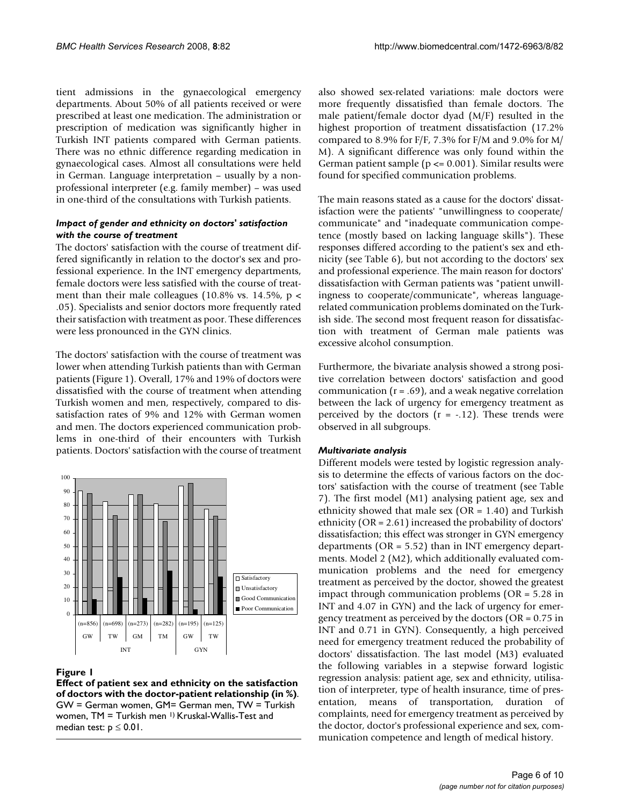tient admissions in the gynaecological emergency departments. About 50% of all patients received or were prescribed at least one medication. The administration or prescription of medication was significantly higher in Turkish INT patients compared with German patients. There was no ethnic difference regarding medication in gynaecological cases. Almost all consultations were held in German. Language interpretation – usually by a nonprofessional interpreter (e.g. family member) – was used in one-third of the consultations with Turkish patients.

# *Impact of gender and ethnicity on doctors' satisfaction with the course of treatment*

The doctors' satisfaction with the course of treatment differed significantly in relation to the doctor's sex and professional experience. In the INT emergency departments, female doctors were less satisfied with the course of treatment than their male colleagues (10.8% vs. 14.5%,  $p <$ .05). Specialists and senior doctors more frequently rated their satisfaction with treatment as poor. These differences were less pronounced in the GYN clinics.

The doctors' satisfaction with the course of treatment was lower when attending Turkish patients than with German patients (Figure 1). Overall, 17% and 19% of doctors were dissatisfied with the course of treatment when attending Turkish women and men, respectively, compared to dissatisfaction rates of 9% and 12% with German women and men. The doctors experienced communication problems in one-third of their encounters with Turkish patients. Doctors' satisfaction with the course of treatment



# Figure 1

**Effect of patient sex and ethnicity on the satisfaction of doctors with the doctor-patient relationship (in %)**. GW = German women, GM= German men, TW = Turkish women, TM = Turkish men <sup>1</sup>) Kruskal-Wallis-Test and median test:  $p \leq 0.01$ .

also showed sex-related variations: male doctors were more frequently dissatisfied than female doctors. The male patient/female doctor dyad (M/F) resulted in the highest proportion of treatment dissatisfaction (17.2% compared to 8.9% for F/F, 7.3% for F/M and 9.0% for M/ M). A significant difference was only found within the German patient sample ( $p \le 0.001$ ). Similar results were found for specified communication problems.

The main reasons stated as a cause for the doctors' dissatisfaction were the patients' "unwillingness to cooperate/ communicate" and "inadequate communication competence (mostly based on lacking language skills"). These responses differed according to the patient's sex and ethnicity (see Table 6), but not according to the doctors' sex and professional experience. The main reason for doctors' dissatisfaction with German patients was "patient unwillingness to cooperate/communicate", whereas languagerelated communication problems dominated on the Turkish side. The second most frequent reason for dissatisfaction with treatment of German male patients was excessive alcohol consumption.

Furthermore, the bivariate analysis showed a strong positive correlation between doctors' satisfaction and good communication ( $r = .69$ ), and a weak negative correlation between the lack of urgency for emergency treatment as perceived by the doctors  $(r = -.12)$ . These trends were observed in all subgroups.

#### *Multivariate analysis*

Different models were tested by logistic regression analysis to determine the effects of various factors on the doctors' satisfaction with the course of treatment (see Table 7). The first model (M1) analysing patient age, sex and ethnicity showed that male sex ( $OR = 1.40$ ) and Turkish ethnicity (OR = 2.61) increased the probability of doctors' dissatisfaction; this effect was stronger in GYN emergency departments (OR = 5.52) than in INT emergency departments. Model 2 (M2), which additionally evaluated communication problems and the need for emergency treatment as perceived by the doctor, showed the greatest impact through communication problems (OR = 5.28 in INT and 4.07 in GYN) and the lack of urgency for emergency treatment as perceived by the doctors ( $OR = 0.75$  in INT and 0.71 in GYN). Consequently, a high perceived need for emergency treatment reduced the probability of doctors' dissatisfaction. The last model (M3) evaluated the following variables in a stepwise forward logistic regression analysis: patient age, sex and ethnicity, utilisation of interpreter, type of health insurance, time of presentation, means of transportation, duration of complaints, need for emergency treatment as perceived by the doctor, doctor's professional experience and sex, communication competence and length of medical history.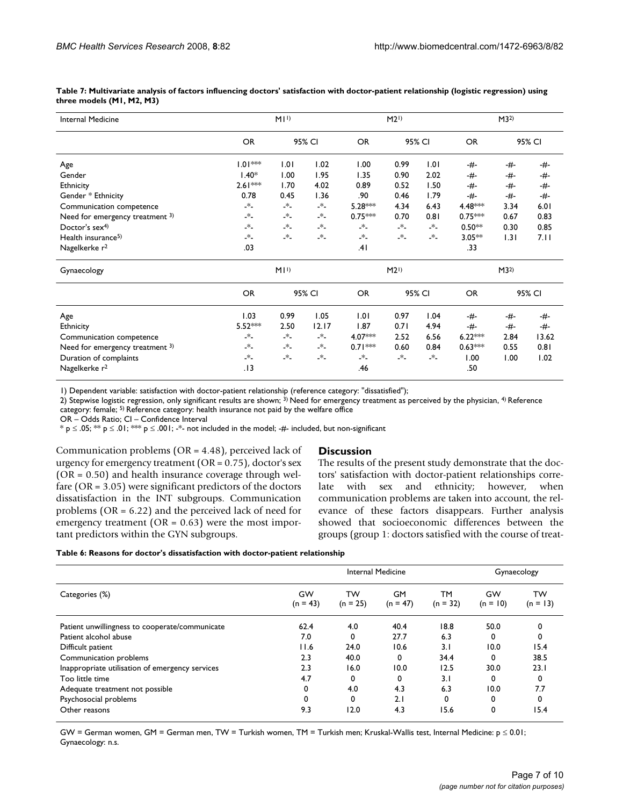| <b>Internal Medicine</b>        |           | M I)            |                 |           | $M2$ <sup>I</sup> ) |         |           |                 |        |
|---------------------------------|-----------|-----------------|-----------------|-----------|---------------------|---------|-----------|-----------------|--------|
|                                 | <b>OR</b> |                 | 95% CI          | <b>OR</b> |                     | 95% CI  | <b>OR</b> |                 | 95% CI |
| Age                             | $1.01***$ | 1.01            | 1.02            | 1.00      | 0.99                | 1.01    | -#-       | -#-             | -#-    |
| Gender                          | $1.40*$   | 1.00            | 1.95            | 1.35      | 0.90                | 2.02    | -#-       | -#-             | -#-    |
| Ethnicity                       | $2.61***$ | 1.70            | 4.02            | 0.89      | 0.52                | 1.50    | -#-       | -#-             | -#-    |
| Gender * Ethnicity              | 0.78      | 0.45            | 1.36            | .90       | 0.46                | 1.79    | -#-       | -#-             | -#-    |
| Communication competence        | _*_       | $\cdot$         | $\mathcal{K}_-$ | 5.28***   | 4.34                | 6.43    | 4.48***   | 3.34            | 6.01   |
| Need for emergency treatment 3) | _*_       | $\mathcal{K}_-$ | $\mathcal{R}_-$ | $0.75***$ | 0.70                | 0.81    | $0.75***$ | 0.67            | 0.83   |
| Doctor's $sex4$                 | _*_       | $\mathcal{R}_-$ | $\mathcal{R}_-$ | $\ast$    | $\ast$              | $\cdot$ | $0.50**$  | 0.30            | 0.85   |
| Health insurance <sup>5)</sup>  | _*_       | $\ast$          | .∗.             | $\cdot$   | $\ast$              | $\ast$  | $3.05**$  | 1.31            | 7.11   |
| Nagelkerke r <sup>2</sup>       | .03       |                 |                 | .41       |                     |         | .33       |                 |        |
| Gynaecology                     |           | M  <sup>1</sup> |                 |           | $M2$ <sup>1)</sup>  |         |           | M3 <sup>2</sup> |        |
|                                 | <b>OR</b> |                 | 95% CI          | <b>OR</b> |                     | 95% CI  | <b>OR</b> |                 | 95% CI |
| Age                             | 1.03      | 0.99            | 1.05            | 1.01      | 0.97                | 1.04    | -#-       | -#-             | -#-    |
| Ethnicity                       | 5.52***   | 2.50            | 12.17           | 1.87      | 0.71                | 4.94    | -#-       | -#-             | -#-    |
| Communication competence        | _*_       | $\cdot$         | _*_             | 4.07***   | 2.52                | 6.56    | $6.22***$ | 2.84            | 13.62  |
| Need for emergency treatment 3) | _*_       | $\mathcal{R}_-$ | _*_             | $0.71***$ | 0.60                | 0.84    | $0.63***$ | 0.55            | 0.81   |
| Duration of complaints          | $-$       | $\mathcal{H}_-$ | _*_             | $\ast$    | _*_                 | $\cdot$ | 1.00      | 1.00            | 1.02   |
| Nagelkerke r <sup>2</sup>       | .13       |                 |                 | .46       |                     |         | .50       |                 |        |

**Table 7: Multivariate analysis of factors influencing doctors' satisfaction with doctor-patient relationship (logistic regression) using three models (M1, M2, M3)**

1) Dependent variable: satisfaction with doctor-patient relationship (reference category: "dissatisfied");

2) Stepwise logistic regression, only significant results are shown; <sup>3)</sup> Need for emergency treatment as perceived by the physician, <sup>4)</sup> Reference

category: female; 5) Reference category: health insurance not paid by the welfare office

OR – Odds Ratio; CI – Confidence Interval

 $*$  p  $\leq$  .05;  $^{**}$  p  $\leq$  .01;  $^{**}$  p  $\leq$  .001;  $-*$ - not included in the model; -#- included, but non-significant

Communication problems (OR = 4.48), perceived lack of urgency for emergency treatment (OR = 0.75), doctor's sex (OR = 0.50) and health insurance coverage through welfare (OR = 3.05) were significant predictors of the doctors dissatisfaction in the INT subgroups. Communication problems (OR = 6.22) and the perceived lack of need for emergency treatment ( $OR = 0.63$ ) were the most important predictors within the GYN subgroups.

#### **Discussion**

The results of the present study demonstrate that the doctors' satisfaction with doctor-patient relationships correlate with sex and ethnicity; however, when communication problems are taken into account, the relevance of these factors disappears. Further analysis showed that socioeconomic differences between the groups (group 1: doctors satisfied with the course of treat-

|  |  | Table 6: Reasons for doctor's dissatisfaction with doctor-patient relationship |  |
|--|--|--------------------------------------------------------------------------------|--|
|--|--|--------------------------------------------------------------------------------|--|

|                                                 |                  | Gynaecology      |                  |                  |                  |                  |
|-------------------------------------------------|------------------|------------------|------------------|------------------|------------------|------------------|
| Categories (%)                                  | GW<br>$(n = 43)$ | TW<br>$(n = 25)$ | GM<br>$(n = 47)$ | TM<br>$(n = 32)$ | GW<br>$(n = 10)$ | TW<br>$(n = 13)$ |
| Patient unwillingness to cooperate/communicate  | 62.4             | 4.0              | 40.4             | 18.8             | 50.0             | 0                |
| Patient alcohol abuse                           | 7.0              | 0                | 27.7             | 6.3              | 0                | 0                |
| Difficult patient                               | 11.6             | 24.0             | 10.6             | 3.1              | 10.0             | 15.4             |
| Communication problems                          | 2.3              | 40.0             | 0                | 34.4             | 0                | 38.5             |
| Inappropriate utilisation of emergency services | 2.3              | 16.0             | 10.0             | 12.5             | 30.0             | 23.1             |
| Too little time                                 | 4.7              | 0                | 0                | 3.1              | 0                | 0                |
| Adequate treatment not possible                 | 0                | 4.0              | 4.3              | 6.3              | 10.0             | 7.7              |
| Psychosocial problems                           | 0                | 0                | 2.1              | 0                | 0                | 0                |
| Other reasons                                   | 9.3              | 12.0             | 4.3              | 15.6             | 0                | 15.4             |

GW = German women, GM = German men, TW = Turkish women, TM = Turkish men; Kruskal-Wallis test, Internal Medicine: p ≤ 0.01; Gynaecology: n.s.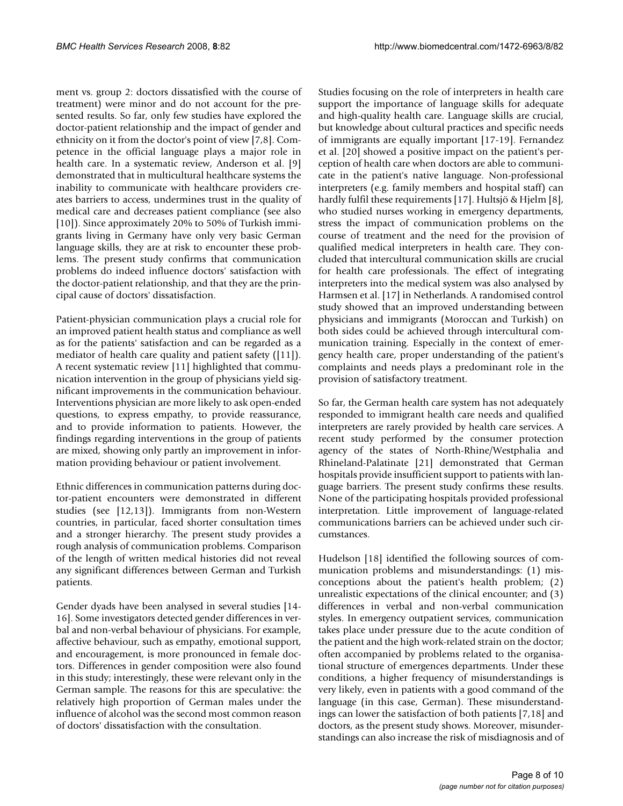ment vs. group 2: doctors dissatisfied with the course of treatment) were minor and do not account for the presented results. So far, only few studies have explored the doctor-patient relationship and the impact of gender and ethnicity on it from the doctor's point of view [7,8]. Competence in the official language plays a major role in health care. In a systematic review, Anderson et al. [9] demonstrated that in multicultural healthcare systems the inability to communicate with healthcare providers creates barriers to access, undermines trust in the quality of medical care and decreases patient compliance (see also [10]). Since approximately 20% to 50% of Turkish immigrants living in Germany have only very basic German language skills, they are at risk to encounter these problems. The present study confirms that communication problems do indeed influence doctors' satisfaction with the doctor-patient relationship, and that they are the principal cause of doctors' dissatisfaction.

Patient-physician communication plays a crucial role for an improved patient health status and compliance as well as for the patients' satisfaction and can be regarded as a mediator of health care quality and patient safety ([11]). A recent systematic review [11] highlighted that communication intervention in the group of physicians yield significant improvements in the communication behaviour. Interventions physician are more likely to ask open-ended questions, to express empathy, to provide reassurance, and to provide information to patients. However, the findings regarding interventions in the group of patients are mixed, showing only partly an improvement in information providing behaviour or patient involvement.

Ethnic differences in communication patterns during doctor-patient encounters were demonstrated in different studies (see [12,13]). Immigrants from non-Western countries, in particular, faced shorter consultation times and a stronger hierarchy. The present study provides a rough analysis of communication problems. Comparison of the length of written medical histories did not reveal any significant differences between German and Turkish patients.

Gender dyads have been analysed in several studies [14- 16]. Some investigators detected gender differences in verbal and non-verbal behaviour of physicians. For example, affective behaviour, such as empathy, emotional support, and encouragement, is more pronounced in female doctors. Differences in gender composition were also found in this study; interestingly, these were relevant only in the German sample. The reasons for this are speculative: the relatively high proportion of German males under the influence of alcohol was the second most common reason of doctors' dissatisfaction with the consultation.

Studies focusing on the role of interpreters in health care support the importance of language skills for adequate and high-quality health care. Language skills are crucial, but knowledge about cultural practices and specific needs of immigrants are equally important [17-19]. Fernandez et al. [20] showed a positive impact on the patient's perception of health care when doctors are able to communicate in the patient's native language. Non-professional interpreters (e.g. family members and hospital staff) can hardly fulfil these requirements [17]. Hultsjö & Hjelm [8], who studied nurses working in emergency departments, stress the impact of communication problems on the course of treatment and the need for the provision of qualified medical interpreters in health care. They concluded that intercultural communication skills are crucial for health care professionals. The effect of integrating interpreters into the medical system was also analysed by Harmsen et al. [17] in Netherlands. A randomised control study showed that an improved understanding between physicians and immigrants (Moroccan and Turkish) on both sides could be achieved through intercultural communication training. Especially in the context of emergency health care, proper understanding of the patient's complaints and needs plays a predominant role in the provision of satisfactory treatment.

So far, the German health care system has not adequately responded to immigrant health care needs and qualified interpreters are rarely provided by health care services. A recent study performed by the consumer protection agency of the states of North-Rhine/Westphalia and Rhineland-Palatinate [21] demonstrated that German hospitals provide insufficient support to patients with language barriers. The present study confirms these results. None of the participating hospitals provided professional interpretation. Little improvement of language-related communications barriers can be achieved under such circumstances.

Hudelson [18] identified the following sources of communication problems and misunderstandings: (1) misconceptions about the patient's health problem; (2) unrealistic expectations of the clinical encounter; and (3) differences in verbal and non-verbal communication styles. In emergency outpatient services, communication takes place under pressure due to the acute condition of the patient and the high work-related strain on the doctor; often accompanied by problems related to the organisational structure of emergences departments. Under these conditions, a higher frequency of misunderstandings is very likely, even in patients with a good command of the language (in this case, German). These misunderstandings can lower the satisfaction of both patients [7,18] and doctors, as the present study shows. Moreover, misunderstandings can also increase the risk of misdiagnosis and of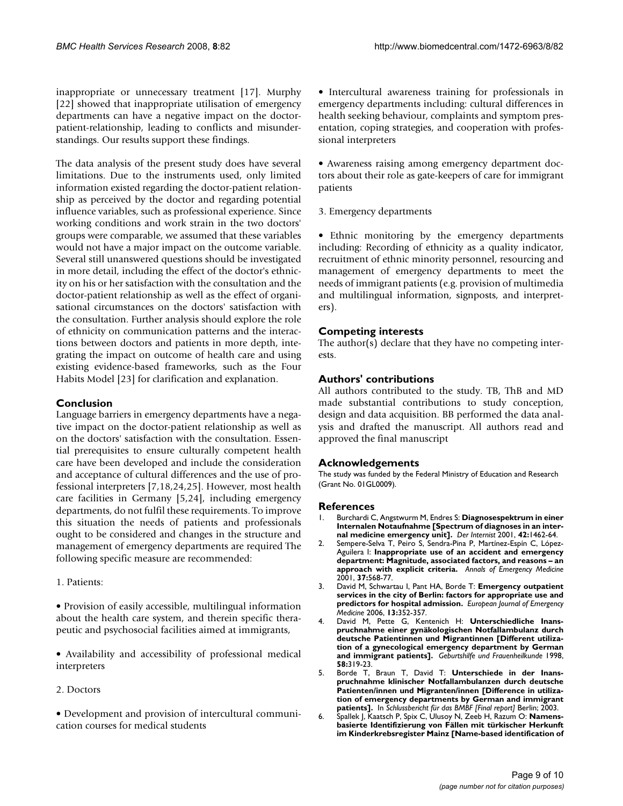inappropriate or unnecessary treatment [17]. Murphy [22] showed that inappropriate utilisation of emergency departments can have a negative impact on the doctorpatient-relationship, leading to conflicts and misunderstandings. Our results support these findings.

The data analysis of the present study does have several limitations. Due to the instruments used, only limited information existed regarding the doctor-patient relationship as perceived by the doctor and regarding potential influence variables, such as professional experience. Since working conditions and work strain in the two doctors' groups were comparable, we assumed that these variables would not have a major impact on the outcome variable. Several still unanswered questions should be investigated in more detail, including the effect of the doctor's ethnicity on his or her satisfaction with the consultation and the doctor-patient relationship as well as the effect of organisational circumstances on the doctors' satisfaction with the consultation. Further analysis should explore the role of ethnicity on communication patterns and the interactions between doctors and patients in more depth, integrating the impact on outcome of health care and using existing evidence-based frameworks, such as the Four Habits Model [23] for clarification and explanation.

# **Conclusion**

Language barriers in emergency departments have a negative impact on the doctor-patient relationship as well as on the doctors' satisfaction with the consultation. Essential prerequisites to ensure culturally competent health care have been developed and include the consideration and acceptance of cultural differences and the use of professional interpreters [7,18,24,25]. However, most health care facilities in Germany [5,24], including emergency departments, do not fulfil these requirements. To improve this situation the needs of patients and professionals ought to be considered and changes in the structure and management of emergency departments are required The following specific measure are recommended:

1. Patients:

• Provision of easily accessible, multilingual information about the health care system, and therein specific therapeutic and psychosocial facilities aimed at immigrants,

• Availability and accessibility of professional medical interpreters

2. Doctors

• Development and provision of intercultural communication courses for medical students

• Intercultural awareness training for professionals in emergency departments including: cultural differences in health seeking behaviour, complaints and symptom presentation, coping strategies, and cooperation with professional interpreters

• Awareness raising among emergency department doctors about their role as gate-keepers of care for immigrant patients

3. Emergency departments

• Ethnic monitoring by the emergency departments including: Recording of ethnicity as a quality indicator, recruitment of ethnic minority personnel, resourcing and management of emergency departments to meet the needs of immigrant patients (e.g. provision of multimedia and multilingual information, signposts, and interpreters).

# **Competing interests**

The author(s) declare that they have no competing interests.

# **Authors' contributions**

All authors contributed to the study. TB, ThB and MD made substantial contributions to study conception, design and data acquisition. BB performed the data analysis and drafted the manuscript. All authors read and approved the final manuscript

# **Acknowledgements**

The study was funded by the Federal Ministry of Education and Research (Grant No. 01GL0009).

#### **References**

- 1. Burchardi C, Angstwurm M, Endres S: **[Diagnosespektrum in einer](http://www.ncbi.nlm.nih.gov/entrez/query.fcgi?cmd=Retrieve&db=PubMed&dopt=Abstract&list_uids=11732098) [Internalen Notaufnahme \[Spectrum of diagnoses in an inter](http://www.ncbi.nlm.nih.gov/entrez/query.fcgi?cmd=Retrieve&db=PubMed&dopt=Abstract&list_uids=11732098)[nal medicine emergency unit\].](http://www.ncbi.nlm.nih.gov/entrez/query.fcgi?cmd=Retrieve&db=PubMed&dopt=Abstract&list_uids=11732098)** *Der Internist* 2001, **42:**1462-64.
- 2. Sempere-Selva T, Peiro S, Sendra-Pina P, Martínez-Espín C, López-Aguilera I: **[Inappropriate use of an accident and emergency](http://www.ncbi.nlm.nih.gov/entrez/query.fcgi?cmd=Retrieve&db=PubMed&dopt=Abstract&list_uids=11385325) [department: Magnitude, associated factors, and reasons – an](http://www.ncbi.nlm.nih.gov/entrez/query.fcgi?cmd=Retrieve&db=PubMed&dopt=Abstract&list_uids=11385325) [approach with explicit criteria.](http://www.ncbi.nlm.nih.gov/entrez/query.fcgi?cmd=Retrieve&db=PubMed&dopt=Abstract&list_uids=11385325)** *Annals of Emergency Medicine* 2001, **37:**568-77.
- 3. David M, Schwartau I, Pant HA, Borde T: **[Emergency outpatient](http://www.ncbi.nlm.nih.gov/entrez/query.fcgi?cmd=Retrieve&db=PubMed&dopt=Abstract&list_uids=17091058) [services in the city of Berlin: factors for appropriate use and](http://www.ncbi.nlm.nih.gov/entrez/query.fcgi?cmd=Retrieve&db=PubMed&dopt=Abstract&list_uids=17091058) [predictors for hospital admission.](http://www.ncbi.nlm.nih.gov/entrez/query.fcgi?cmd=Retrieve&db=PubMed&dopt=Abstract&list_uids=17091058)** *European Journal of Emergency Medicine* 2006, **13:**352-357.
- 4. David M, Pette G, Kentenich H: **Unterschiedliche Inanspruchnahme einer gynäkologischen Notfallambulanz durch deutsche Patientinnen und Migrantinnen [Different utilization of a gynecological emergency department by German and immigrant patients].** *Geburtshilfe und Frauenheilkunde* 1998, **58:**319-23.
- 5. Borde T, Braun T, David T: **Unterschiede in der Inanspruchnahme klinischer Notfallambulanzen durch deutsche Patienten/innen und Migranten/innen [Difference in utilization of emergency departments by German and immigrant patients].** In *Schlussbericht für das BMBF [Final report]* Berlin; 2003.
- 6. Spallek J, Kaatsch P, Spix C, Ulusoy N, Zeeb H, Razum O: **[Namens](http://www.ncbi.nlm.nih.gov/entrez/query.fcgi?cmd=Retrieve&db=PubMed&dopt=Abstract&list_uids=17099826)[basierte Identifizierung von Fällen mit türkischer Herkunft](http://www.ncbi.nlm.nih.gov/entrez/query.fcgi?cmd=Retrieve&db=PubMed&dopt=Abstract&list_uids=17099826) [im Kinderkrebsregister Mainz \[Name-based identification of](http://www.ncbi.nlm.nih.gov/entrez/query.fcgi?cmd=Retrieve&db=PubMed&dopt=Abstract&list_uids=17099826)**